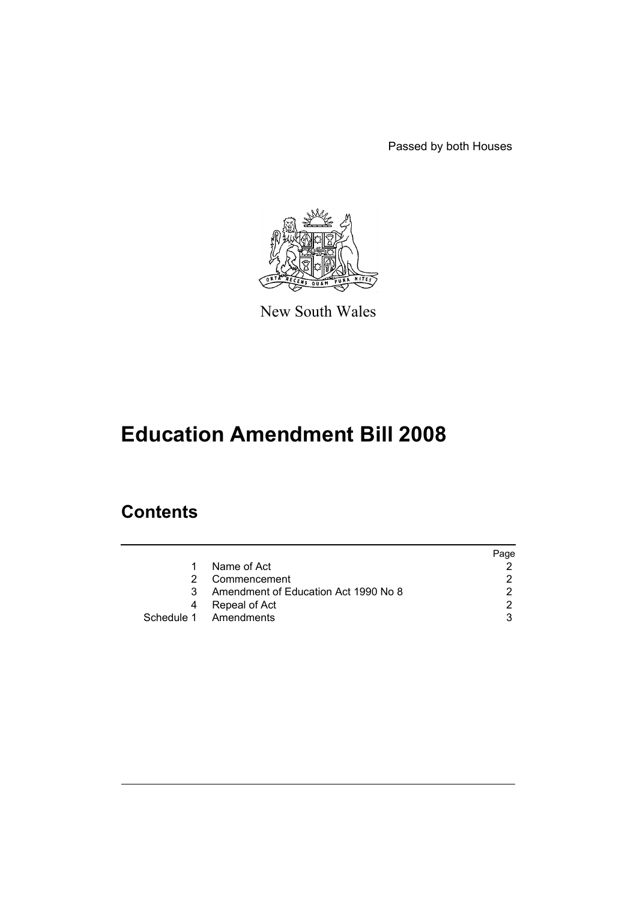Passed by both Houses



New South Wales

# **Education Amendment Bill 2008**

## **Contents**

|    |                                      | Page |
|----|--------------------------------------|------|
| 1. | Name of Act                          |      |
| 2  | Commencement                         |      |
| 3  | Amendment of Education Act 1990 No 8 |      |
| 4  | Repeal of Act                        | ◠    |
|    | Schedule 1 Amendments                |      |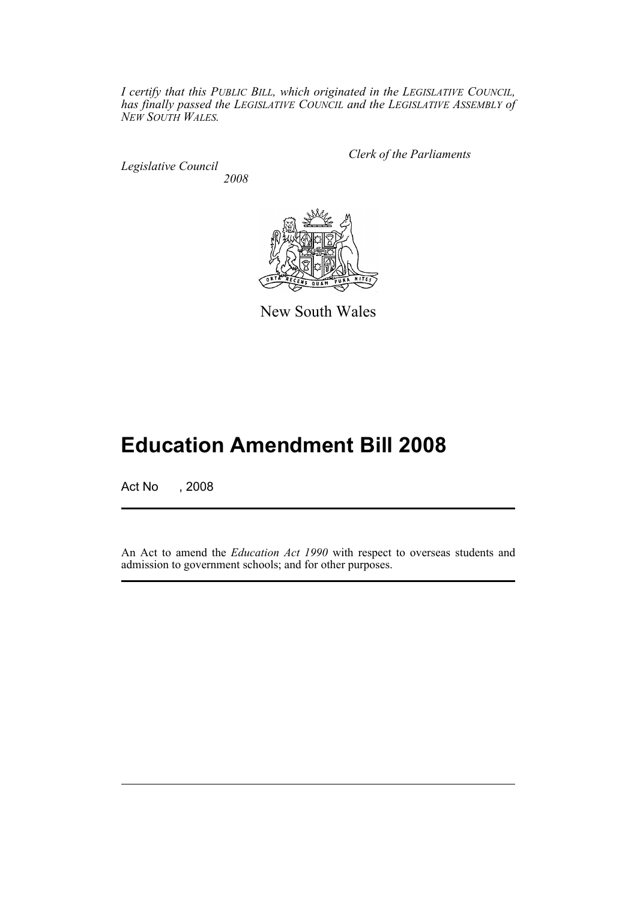*I certify that this PUBLIC BILL, which originated in the LEGISLATIVE COUNCIL, has finally passed the LEGISLATIVE COUNCIL and the LEGISLATIVE ASSEMBLY of NEW SOUTH WALES.*

*Legislative Council 2008* *Clerk of the Parliaments*



New South Wales

## **Education Amendment Bill 2008**

Act No , 2008

An Act to amend the *Education Act 1990* with respect to overseas students and admission to government schools; and for other purposes.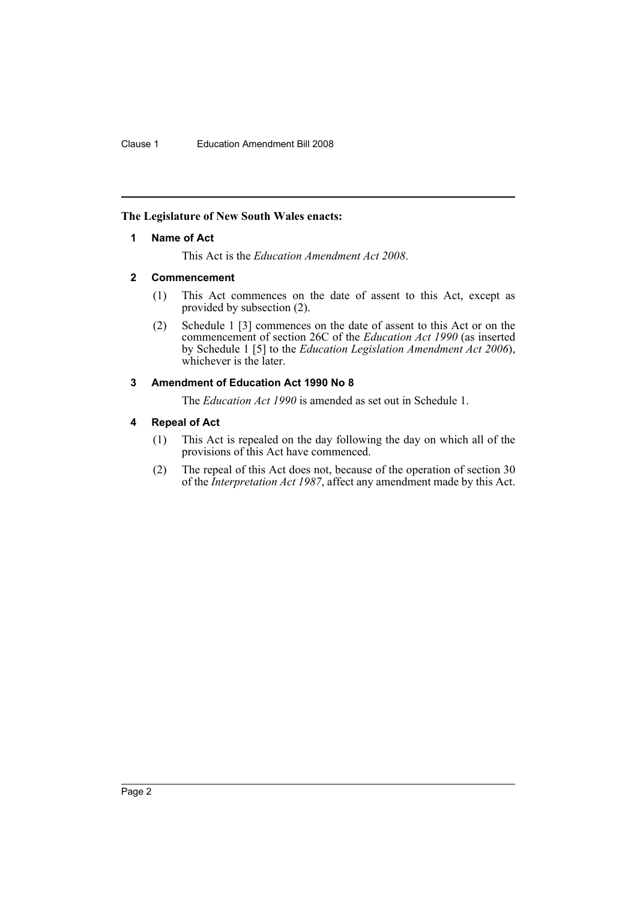#### <span id="page-2-0"></span>**The Legislature of New South Wales enacts:**

#### **1 Name of Act**

This Act is the *Education Amendment Act 2008*.

#### <span id="page-2-1"></span>**2 Commencement**

- (1) This Act commences on the date of assent to this Act, except as provided by subsection (2).
- (2) Schedule 1 [3] commences on the date of assent to this Act or on the commencement of section 26C of the *Education Act 1990* (as inserted by Schedule 1 [5] to the *Education Legislation Amendment Act 2006*), whichever is the later.

#### <span id="page-2-2"></span>**3 Amendment of Education Act 1990 No 8**

The *Education Act 1990* is amended as set out in Schedule 1.

#### <span id="page-2-3"></span>**4 Repeal of Act**

- (1) This Act is repealed on the day following the day on which all of the provisions of this Act have commenced.
- (2) The repeal of this Act does not, because of the operation of section 30 of the *Interpretation Act 1987*, affect any amendment made by this Act.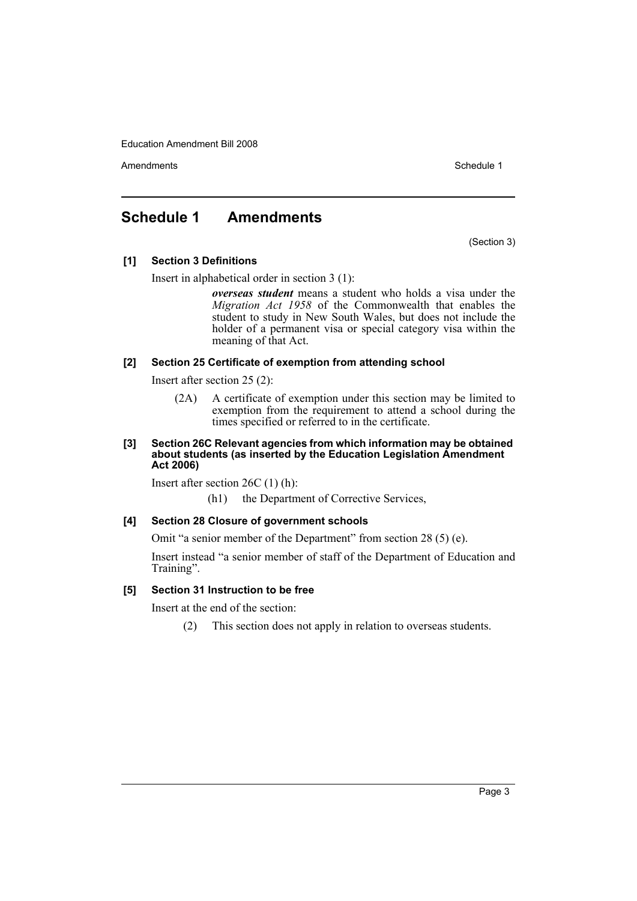Amendments **Schedule 1** and the set of the set of the set of the set of the set of the set of the set of the set of the set of the set of the set of the set of the set of the set of the set of the set of the set of the set

### <span id="page-3-0"></span>**Schedule 1 Amendments**

(Section 3)

**[1] Section 3 Definitions**

Insert in alphabetical order in section 3 (1):

*overseas student* means a student who holds a visa under the *Migration Act 1958* of the Commonwealth that enables the student to study in New South Wales, but does not include the holder of a permanent visa or special category visa within the meaning of that Act.

#### **[2] Section 25 Certificate of exemption from attending school**

Insert after section 25 (2):

(2A) A certificate of exemption under this section may be limited to exemption from the requirement to attend a school during the times specified or referred to in the certificate.

#### **[3] Section 26C Relevant agencies from which information may be obtained about students (as inserted by the Education Legislation Amendment Act 2006)**

Insert after section 26C (1) (h):

(h1) the Department of Corrective Services,

#### **[4] Section 28 Closure of government schools**

Omit "a senior member of the Department" from section 28 (5) (e).

Insert instead "a senior member of staff of the Department of Education and Training".

#### **[5] Section 31 Instruction to be free**

Insert at the end of the section:

(2) This section does not apply in relation to overseas students.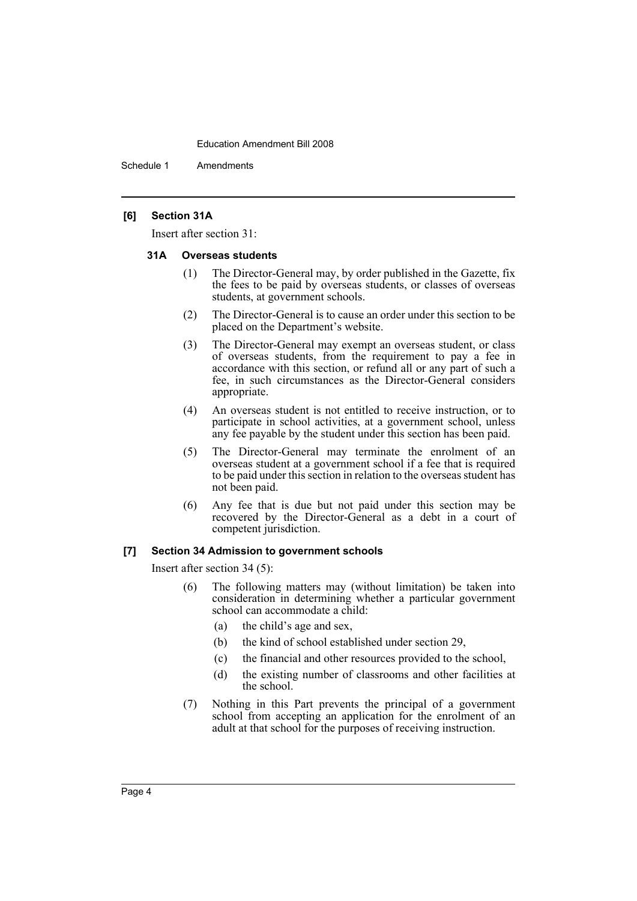Schedule 1 Amendments

#### **[6] Section 31A**

Insert after section 31:

#### **31A Overseas students**

- (1) The Director-General may, by order published in the Gazette, fix the fees to be paid by overseas students, or classes of overseas students, at government schools.
- (2) The Director-General is to cause an order under this section to be placed on the Department's website.
- (3) The Director-General may exempt an overseas student, or class of overseas students, from the requirement to pay a fee in accordance with this section, or refund all or any part of such a fee, in such circumstances as the Director-General considers appropriate.
- (4) An overseas student is not entitled to receive instruction, or to participate in school activities, at a government school, unless any fee payable by the student under this section has been paid.
- (5) The Director-General may terminate the enrolment of an overseas student at a government school if a fee that is required to be paid under this section in relation to the overseas student has not been paid.
- (6) Any fee that is due but not paid under this section may be recovered by the Director-General as a debt in a court of competent jurisdiction.

#### **[7] Section 34 Admission to government schools**

Insert after section 34 (5):

- (6) The following matters may (without limitation) be taken into consideration in determining whether a particular government school can accommodate a child:
	- (a) the child's age and sex,
	- (b) the kind of school established under section 29,
	- (c) the financial and other resources provided to the school,
	- (d) the existing number of classrooms and other facilities at the school.
- (7) Nothing in this Part prevents the principal of a government school from accepting an application for the enrolment of an adult at that school for the purposes of receiving instruction.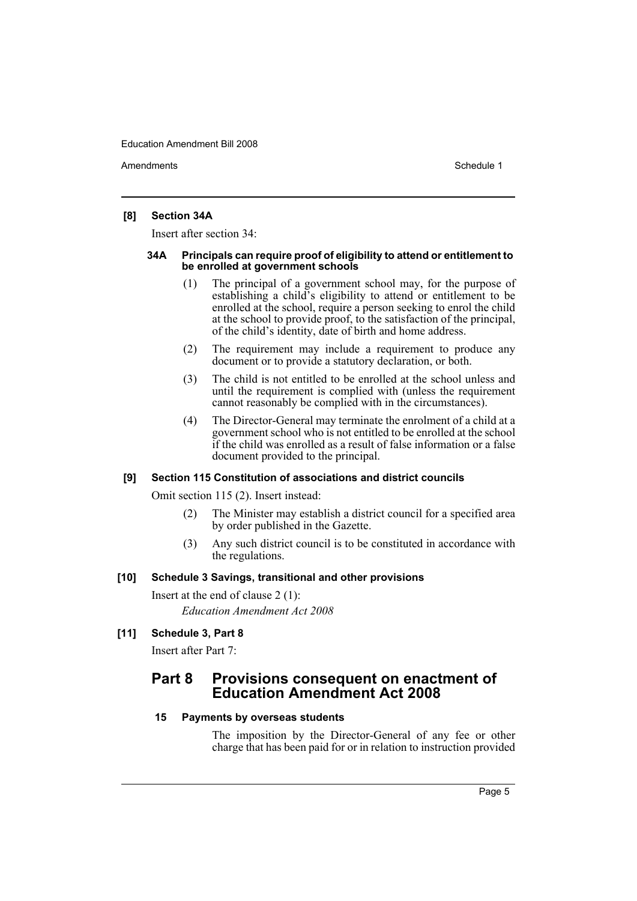Amendments **Amendments** Schedule 1

#### **[8] Section 34A**

Insert after section 34:

#### **34A Principals can require proof of eligibility to attend or entitlement to be enrolled at government schools**

- (1) The principal of a government school may, for the purpose of establishing a child's eligibility to attend or entitlement to be enrolled at the school, require a person seeking to enrol the child at the school to provide proof, to the satisfaction of the principal, of the child's identity, date of birth and home address.
- (2) The requirement may include a requirement to produce any document or to provide a statutory declaration, or both.
- (3) The child is not entitled to be enrolled at the school unless and until the requirement is complied with (unless the requirement cannot reasonably be complied with in the circumstances).
- (4) The Director-General may terminate the enrolment of a child at a government school who is not entitled to be enrolled at the school if the child was enrolled as a result of false information or a false document provided to the principal.

#### **[9] Section 115 Constitution of associations and district councils**

Omit section 115 (2). Insert instead:

- (2) The Minister may establish a district council for a specified area by order published in the Gazette.
- (3) Any such district council is to be constituted in accordance with the regulations.

#### **[10] Schedule 3 Savings, transitional and other provisions**

Insert at the end of clause 2 (1):

*Education Amendment Act 2008*

**[11] Schedule 3, Part 8**

Insert after Part 7:

### **Part 8 Provisions consequent on enactment of Education Amendment Act 2008**

#### **15 Payments by overseas students**

The imposition by the Director-General of any fee or other charge that has been paid for or in relation to instruction provided